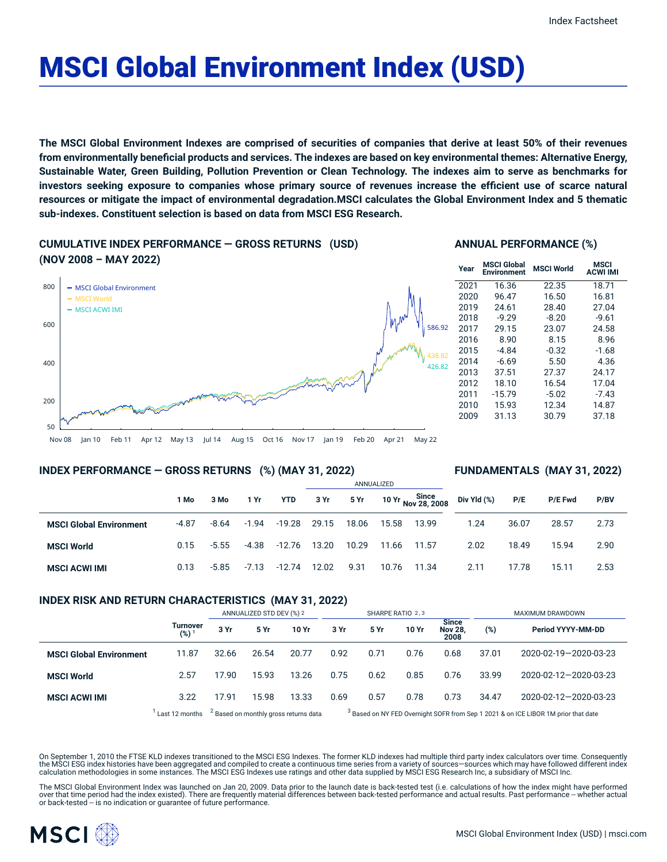# MSCI Global Environment Index (USD)

The MSCI Global Environment Indexes are comprised of securities of companies that derive at least 50% of their revenues from environmentally beneficial products and services. The indexes are based on key environmental themes: Alternative Energy, Sustainable Water, Green Building, Pollution Prevention or Clean Technology. The indexes aim to serve as benchmarks for investors seeking exposure to companies whose primary source of revenues increase the efficient use of scarce natural resources or mitigate the impact of environmental degradation.MSCI calculates the Global Environment Index and 5 thematic **sub-indexes. Constituent selection is based on data from MSCI ESG Research.**

## **CUMULATIVE INDEX PERFORMANCE — GROSS RETURNS (USD) (NOV 2008 – MAY 2022)**



## **ANNUAL PERFORMANCE (%)**

| Year | <b>MSCI Global</b><br>Environment | <b>MSCI World</b> | MSCI<br><b>ACWI IMI</b> |
|------|-----------------------------------|-------------------|-------------------------|
| 2021 | 16.36                             | 22.35             | 18.71                   |
| 2020 | 96.47                             | 16.50             | 16.81                   |
| 2019 | 24.61                             | 28.40             | 27.04                   |
| 2018 | $-9.29$                           | $-8.20$           | $-9.61$                 |
| 2017 | 29.15                             | 23.07             | 24.58                   |
| 2016 | 8.90                              | 8.15              | 8.96                    |
| 2015 | $-4.84$                           | $-0.32$           | $-1.68$                 |
| 2014 | $-6.69$                           | 5.50              | 4.36                    |
| 2013 | 37.51                             | 27.37             | 24.17                   |
| 2012 | 18.10                             | 16.54             | 17.04                   |
| 2011 | $-15.79$                          | $-5.02$           | $-7.43$                 |
| 2010 | 15.93                             | 12.34             | 14.87                   |
| 2009 | 31.13                             | 30.79             | 37.18                   |
|      |                                   |                   |                         |

#### Nov 08 Jan 10 Feb 11 Apr 12 May 13 Jul 14 Aug 15 Oct 16 Nov 17 Jan 19 Feb 20 Apr 21 May 22

## **INDEX PERFORMANCE — GROSS RETURNS (%) (MAY 31, 2022)**

#### **FUNDAMENTALS (MAY 31, 2022)**

|                                |         |         |         |            | ANNUALIZED |       |       |                                   |             |       |                |      |
|--------------------------------|---------|---------|---------|------------|------------|-------|-------|-----------------------------------|-------------|-------|----------------|------|
|                                | 1 Mo    | 3 Mo    | 1 Yr    | <b>YTD</b> | 3 Yr       | 5 Yr  |       | 10 Yr Since<br>10 Yr Nov 28, 2008 | Div Yld (%) | P/E   | <b>P/E Fwd</b> | P/BV |
| <b>MSCI Global Environment</b> | $-4.87$ | $-8.64$ | $-1.94$ | -19.28     | 29.15      | 18.06 | 15.58 | 13.99                             | 1.24        | 36.07 | 28.57          | 2.73 |
| <b>MSCI World</b>              | 0.15    | $-5.55$ | -4.38   | -12.76     | 13.20      | 10.29 | 11.66 | 11.57                             | 2.02        | 18.49 | 15.94          | 2.90 |
| <b>MSCI ACWI IMI</b>           | 0.13    | $-5.85$ | $-7.13$ | $-12.74$   | 12.02      | 9.31  | 10.76 | 11.34                             | 2.11        | 17.78 | 15.11          | 2.53 |

## **INDEX RISK AND RETURN CHARACTERISTICS (MAY 31, 2022)**

|                                |                     | ANNUALIZED STD DEV (%) 2                         |       |       | SHARPE RATIO 2,3                                                                              |      |       |                                        | <b>MAXIMUM DRAWDOWN</b> |                       |  |
|--------------------------------|---------------------|--------------------------------------------------|-------|-------|-----------------------------------------------------------------------------------------------|------|-------|----------------------------------------|-------------------------|-----------------------|--|
|                                | Turnover<br>$(%)^1$ | 3 Yr                                             | 5 Yr  | 10 Yr | 3 Yr                                                                                          | 5 Yr | 10 Yr | <b>Since</b><br><b>Nov 28.</b><br>2008 | (%)                     | Period YYYY-MM-DD     |  |
| <b>MSCI Global Environment</b> | 11.87               | 32.66                                            | 26.54 | 20.77 | 0.92                                                                                          | 0.71 | 0.76  | 0.68                                   | 37.01                   | 2020-02-19-2020-03-23 |  |
| <b>MSCI World</b>              | 2.57                | 17.90                                            | 15.93 | 13.26 | 0.75                                                                                          | 0.62 | 0.85  | 0.76                                   | 33.99                   | 2020-02-12-2020-03-23 |  |
| <b>MSCI ACWI IMI</b>           | 3.22                | 17.91                                            | 15.98 | 13.33 | 0.69                                                                                          | 0.57 | 0.78  | 0.73                                   | 34.47                   | 2020-02-12-2020-03-23 |  |
|                                | Last 12 months      | <sup>2</sup> Based on monthly gross returns data |       |       | <sup>3</sup> Based on NY FED Overnight SOFR from Sep 1 2021 & on ICE LIBOR 1M prior that date |      |       |                                        |                         |                       |  |

On September 1, 2010 the FTSE KLD indexes transitioned to the MSCI ESG Indexes. The former KLD indexes had multiple third party index calculators over time. Consequently the MSCI ESG index histories have been aggregated and compiled to create a continuous time series from a variety of sources—sources which may have followed different index<br>calculation methodologies in some instances. The M

The MSCI Global Environment Index was launched on Jan 20, 2009. Data prior to the launch date is back-tested test (i.e. calculations of how the index might have performed over that time period had the index existed). There are frequently material differences between back-tested performance and actual results. Past performance -- whether actual or back-tested -- is no indication or guarantee of future performance.

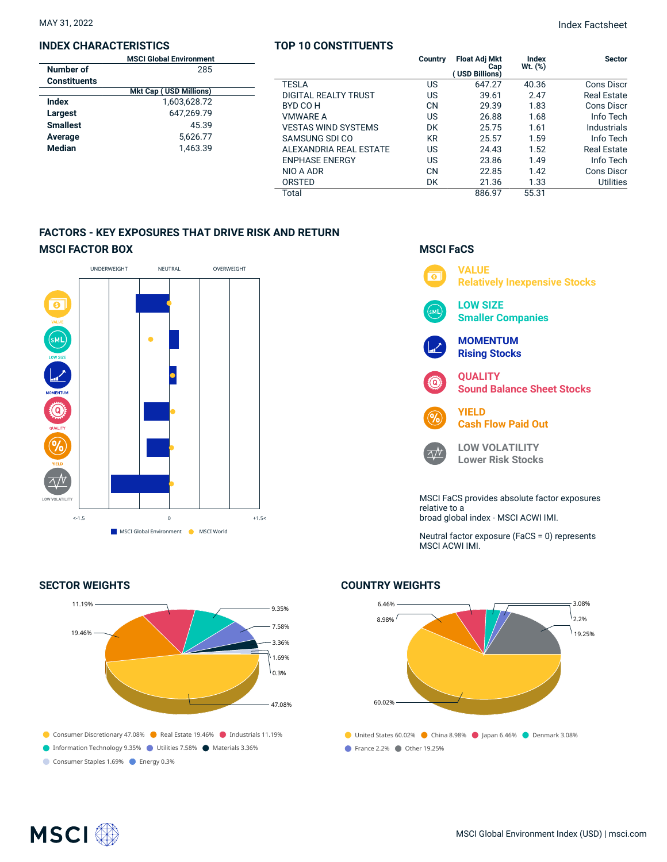### **INDEX CHARACTERISTICS**

|  | <b>TOP 10 CONSTITUENTS</b> |  |
|--|----------------------------|--|
|--|----------------------------|--|

MAY 31, 2022 Index Factsheet

|                     | <b>MSCI Global Environment</b> |                            | Country   | <b>Float Adj Mkt</b>  | Index        | <b>Sector</b>      |
|---------------------|--------------------------------|----------------------------|-----------|-----------------------|--------------|--------------------|
| Number of           | 285                            |                            |           | Cap<br>(USD Billions) | $Wt.$ $(\%)$ |                    |
| <b>Constituents</b> |                                | <b>TESLA</b>               | US        | 647.27                | 40.36        | <b>Cons Discr</b>  |
|                     | <b>Mkt Cap (USD Millions)</b>  | DIGITAL REALTY TRUST       | US        | 39.61                 | 2.47         | <b>Real Estate</b> |
| <b>Index</b>        | 1,603,628.72                   | BYD CO H                   | <b>CN</b> | 29.39                 | 1.83         | <b>Cons Discr</b>  |
| Largest             | 647.269.79                     | <b>VMWARE A</b>            | US        | 26.88                 | 1.68         | Info Tech          |
| <b>Smallest</b>     | 45.39                          | <b>VESTAS WIND SYSTEMS</b> | DK        | 25.75                 | 1.61         | Industrials        |
| Average             | 5.626.77                       | SAMSUNG SDI CO             | <b>KR</b> | 25.57                 | 1.59         | Info Tech          |
| <b>Median</b>       | 1,463.39                       | ALEXANDRIA REAL ESTATE     | US        | 24.43                 | 1.52         | <b>Real Estate</b> |
|                     |                                | <b>ENPHASE ENERGY</b>      | US        | 23.86                 | 1.49         | Info Tech          |
|                     |                                | NIO A ADR                  | <b>CN</b> | 22.85                 | 1.42         | <b>Cons Discr</b>  |
|                     |                                | ORSTED                     | DK        | 21.36                 | 1.33         | <b>Utilities</b>   |
|                     |                                | Total                      |           | 886.97                | 55.31        |                    |

## **FACTORS - KEY EXPOSURES THAT DRIVE RISK AND RETURN MSCI FACTOR BOX**



## **SECTOR WEIGHTS**



## **MSCI FaCS**



Neutral factor exposure (FaCS = 0) represents MSCI ACWI IMI.

## **COUNTRY WEIGHTS**